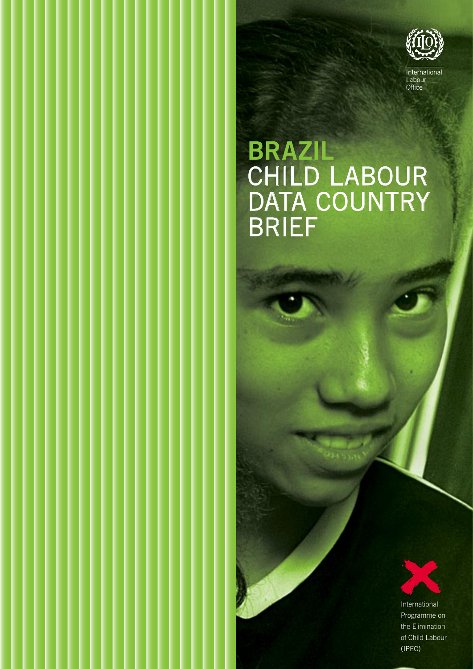

### **BRAZIL** CHILD LABOUR DATA COUNTRY BRIEF

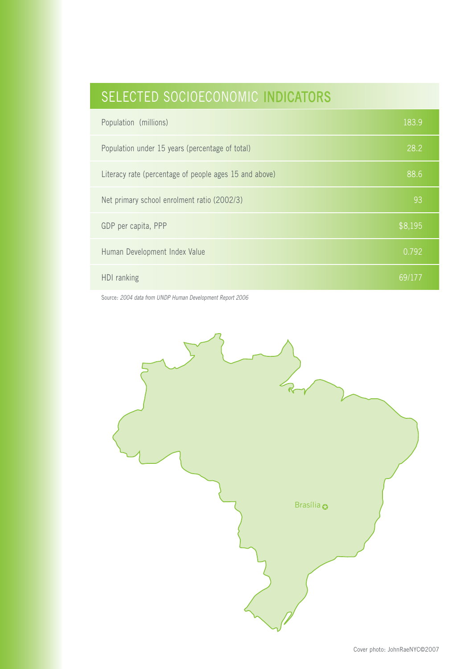### SELECTED SOCIOECONOMIC INDICATORS

| Population (millions)                                  | 183.9              |
|--------------------------------------------------------|--------------------|
| Population under 15 years (percentage of total)        | 28.2               |
| Literacy rate (percentage of people ages 15 and above) | 88.6               |
| Net primary school enrolment ratio (2002/3)            | 93                 |
| GDP per capita, PPP                                    | $\frac{1}{38,195}$ |
| Human Development Index Value                          | 0.792              |
| HDI ranking                                            | 69/177             |

Source: 2004 data from UNDP Human Development Report 2006

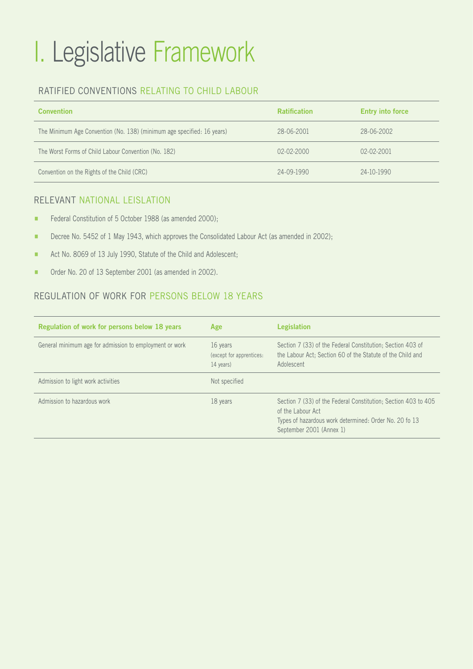# I. Legislative Framework

#### RATIFIED CONVENTIONS RELATING TO CHILD LABOUR

| <b>Convention</b>                                                      | <b>Ratification</b> | <b>Entry into force</b> |
|------------------------------------------------------------------------|---------------------|-------------------------|
| The Minimum Age Convention (No. 138) (minimum age specified: 16 years) | 28-06-2001          | 28-06-2002              |
| The Worst Forms of Child Labour Convention (No. 182)                   | $02-02-2000$        | $02 - 02 - 2001$        |
| Convention on the Rights of the Child (CRC)                            | $24 - 09 - 1990$    | 24-10-1990              |

#### RELEVANT NATIONAL LEISLATION

- Federal Constitution of 5 October 1988 (as amended 2000);
- **EXECREE No. 5452 of 1 May 1943, which approves the Consolidated Labour Act (as amended in 2002);**
- **EXECUTE:** Act No. 8069 of 13 July 1990, Statute of the Child and Adolescent;
- **E** Order No. 20 of 13 September 2001 (as amended in 2002).

#### REGULATION OF WORK FOR PERSONS BELOW 18 YEARS

| Regulation of work for persons below 18 years           | Age                                               | <b>Legislation</b>                                                                                                                                                        |
|---------------------------------------------------------|---------------------------------------------------|---------------------------------------------------------------------------------------------------------------------------------------------------------------------------|
| General minimum age for admission to employment or work | 16 years<br>(except for apprentices:<br>14 years) | Section 7 (33) of the Federal Constitution; Section 403 of<br>the Labour Act: Section 60 of the Statute of the Child and<br>Adolescent                                    |
| Admission to light work activities                      | Not specified                                     |                                                                                                                                                                           |
| Admission to hazardous work                             | 18 years                                          | Section 7 (33) of the Federal Constitution: Section 403 to 405<br>of the Labour Act<br>Types of hazardous work determined: Order No. 20 fo 13<br>September 2001 (Annex 1) |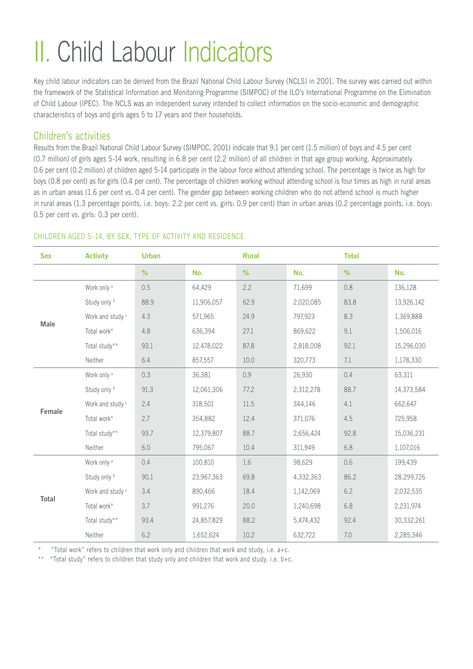# II. Child Labour Indicators

Key child labour indicators can be derived from the Brazil National Child Labour Survey (NCLS) in 2001. The survey was carried out within the framework of the Statistical Information and Monitoring Programme (SIMPOC) of the ILO's International Programme on the Elimination of Child Labour (IPEC). The NCLS was an independent survey intended to collect information on the socio-economic and demographic characteristics of boys and girls ages 5 to 17 years and their households.

#### Children's activities

Results from the Brazil National Child Labour Survey (SIMPOC, 2001) indicate that 9.1 per cent (1.5 million) of boys and 4.5 per cent (0.7 million) of girls ages 5-14 work, resulting in 6.8 per cent (2.2 million) of all children in that age group working. Approximately 0.6 per cent (0.2 million) of children aged 5-14 participate in the labour force without attending school. The percentage is twice as high for boys (0.8 per cent) as for girls (0.4 per cent). The percentage of children working without attending school is four times as high in rural areas as in urban areas (1.6 per cent vs. 0.4 per cent). The gender gap between working children who do not attend school is much higher in rural areas (1.3 percentage points, i.e. boys: 2.2 per cent vs. girls: 0.9 per cent) than in urban areas (0.2 percentage points, i.e. boys: 0.5 per cent vs. girls: 0.3 per cent).

#### CHILDREN AGED 5–14, BY SEX, TYPE OF ACTIVITY AND RESIDENCE

| <b>Sex</b>   | <b>Activity</b>             | <b>Urban</b> |            | <b>Rural</b> |           | <b>Total</b> |            |
|--------------|-----------------------------|--------------|------------|--------------|-----------|--------------|------------|
|              |                             | %            | No.        | %            | No.       | %            | No.        |
| Male         | Work only <sup>a</sup>      | 0.5          | 64,429     | 2.2          | 71,699    | 0.8          | 136,128    |
|              | Study only b                | 88.9         | 11,906,057 | 62.9         | 2,020,085 | 83.8         | 13,926,142 |
|              | Work and study <sup>c</sup> | 4.3          | 571,965    | 24.9         | 797,923   | 8.3          | 1,369,888  |
|              | Total work*                 | 4.8          | 636,394    | 27.1         | 869,622   | 9.1          | 1,506,016  |
|              | Total study**               | 93.1         | 12,478,022 | 87.8         | 2,818,008 | 92.1         | 15,296,030 |
|              | Neither                     | 6.4          | 857,557    | 10.0         | 320,773   | 7.1          | 1,178,330  |
| Female       | Work only <sup>a</sup>      | 0.3          | 36,381     | 0.9          | 26,930    | 0.4          | 63,311     |
|              | Study only b                | 91.3         | 12,061,306 | 77.2         | 2,312,278 | 88.7         | 14,373,584 |
|              | Work and study <sup>c</sup> | 2.4          | 318,501    | 11.5         | 344,146   | 4.1          | 662,647    |
|              | Total work*                 | 2.7          | 354,882    | 12.4         | 371,076   | 4.5          | 725,958    |
|              | Total study**               | 93.7         | 12,379,807 | 88.7         | 2,656,424 | 92.8         | 15,036,231 |
|              | Neither                     | $6.0\,$      | 795,067    | 10.4         | 311,949   | 6.8          | 1,107,016  |
| <b>Total</b> | Work only <sup>a</sup>      | 0.4          | 100,810    | 1.6          | 98,629    | 0.6          | 199,439    |
|              | Study only b                | 90.1         | 23,967,363 | 69.8         | 4,332,363 | 86.2         | 28,299,726 |
|              | Work and study <sup>c</sup> | 3.4          | 890,466    | 18.4         | 1,142,069 | 6.2          | 2,032,535  |
|              | Total work*                 | 3.7          | 991,276    | 20.0         | 1,240,698 | 6.8          | 2,231,974  |
|              | Total study**               | 93.4         | 24,857,829 | 88.2         | 5,474,432 | 92.4         | 30,332,261 |
|              | Neither                     | 6.2          | 1,652,624  | 10.2         | 632,722   | $7.0\,$      | 2,285,346  |

\* "Total work" refers to children that work only and children that work and study, i.e. a+c.

\*\* "Total study" refers to children that study only and children that work and study, i.e. b+c.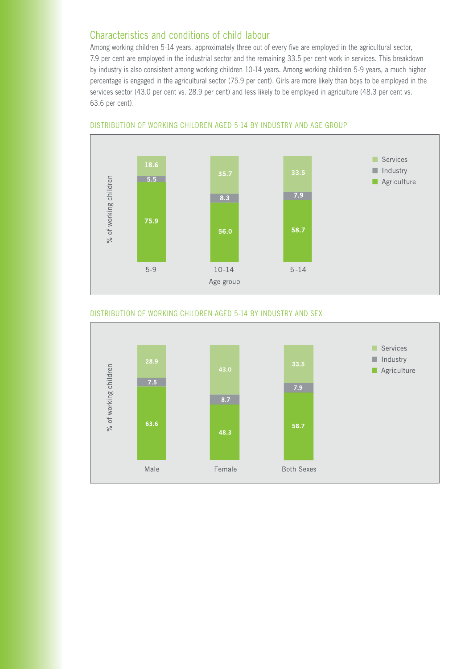#### Characteristics and conditions of child labour

Among working children 5-14 years, approximately three out of every five are employed in the agricultural sector, 7.9 per cent are employed in the industrial sector and the remaining 33.5 per cent work in services. This breakdown by industry is also consistent among working children 10-14 years. Among working children 5-9 years, a much higher percentage is engaged in the agricultural sector (75.9 per cent). Girls are more likely than boys to be employed in the services sector (43.0 per cent vs. 28.9 per cent) and less likely to be employed in agriculture (48.3 per cent vs. 63.6 per cent).



#### DISTRIBUTION OF WORKING CHILDREN AGED 5-14 BY INDUSTRY AND AGE GROUP

#### DISTRIBUTION OF WORKING CHILDREN AGED 5-14 BY INDUSTRY AND SEX

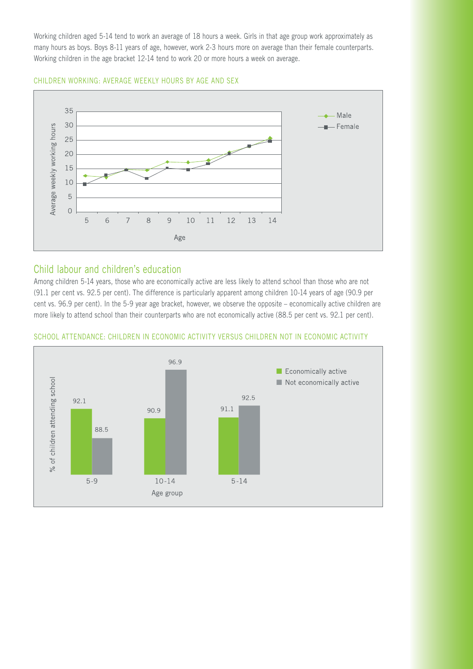Working children aged 5-14 tend to work an average of 18 hours a week. Girls in that age group work approximately as many hours as boys. Boys 8-11 years of age, however, work 2-3 hours more on average than their female counterparts. Working children in the age bracket 12-14 tend to work 20 or more hours a week on average.

CHILDREN WORKING: AVERAGE WEEKLY HOURS BY AGE AND SEX



#### Child labour and children's education

Among children 5-14 years, those who are economically active are less likely to attend school than those who are not (91.1 per cent vs. 92.5 per cent). The difference is particularly apparent among children 10-14 years of age (90.9 per cent vs. 96.9 per cent). In the 5-9 year age bracket, however, we observe the opposite – economically active children are more likely to attend school than their counterparts who are not economically active (88.5 per cent vs. 92.1 per cent).



#### SCHOOL ATTENDANCE: CHILDREN IN ECONOMIC ACTIVITY VERSUS CHILDREN NOT IN ECONOMIC ACTIVITY